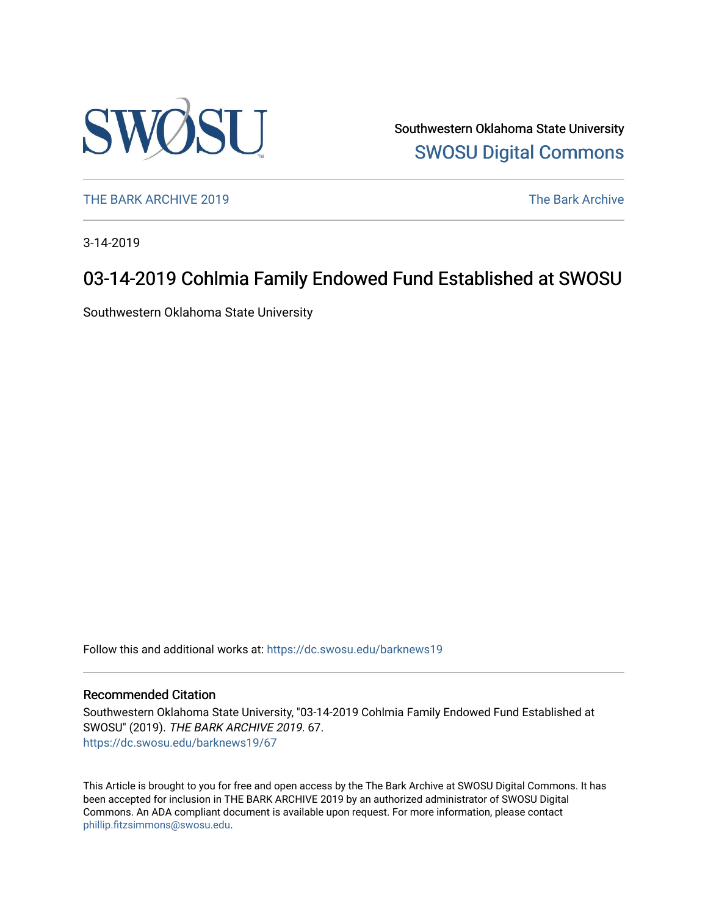

Southwestern Oklahoma State University [SWOSU Digital Commons](https://dc.swosu.edu/) 

[THE BARK ARCHIVE 2019](https://dc.swosu.edu/barknews19) The Bark Archive

3-14-2019

## 03-14-2019 Cohlmia Family Endowed Fund Established at SWOSU

Southwestern Oklahoma State University

Follow this and additional works at: [https://dc.swosu.edu/barknews19](https://dc.swosu.edu/barknews19?utm_source=dc.swosu.edu%2Fbarknews19%2F67&utm_medium=PDF&utm_campaign=PDFCoverPages)

#### Recommended Citation

Southwestern Oklahoma State University, "03-14-2019 Cohlmia Family Endowed Fund Established at SWOSU" (2019). THE BARK ARCHIVE 2019. 67. [https://dc.swosu.edu/barknews19/67](https://dc.swosu.edu/barknews19/67?utm_source=dc.swosu.edu%2Fbarknews19%2F67&utm_medium=PDF&utm_campaign=PDFCoverPages) 

This Article is brought to you for free and open access by the The Bark Archive at SWOSU Digital Commons. It has been accepted for inclusion in THE BARK ARCHIVE 2019 by an authorized administrator of SWOSU Digital Commons. An ADA compliant document is available upon request. For more information, please contact [phillip.fitzsimmons@swosu.edu](mailto:phillip.fitzsimmons@swosu.edu).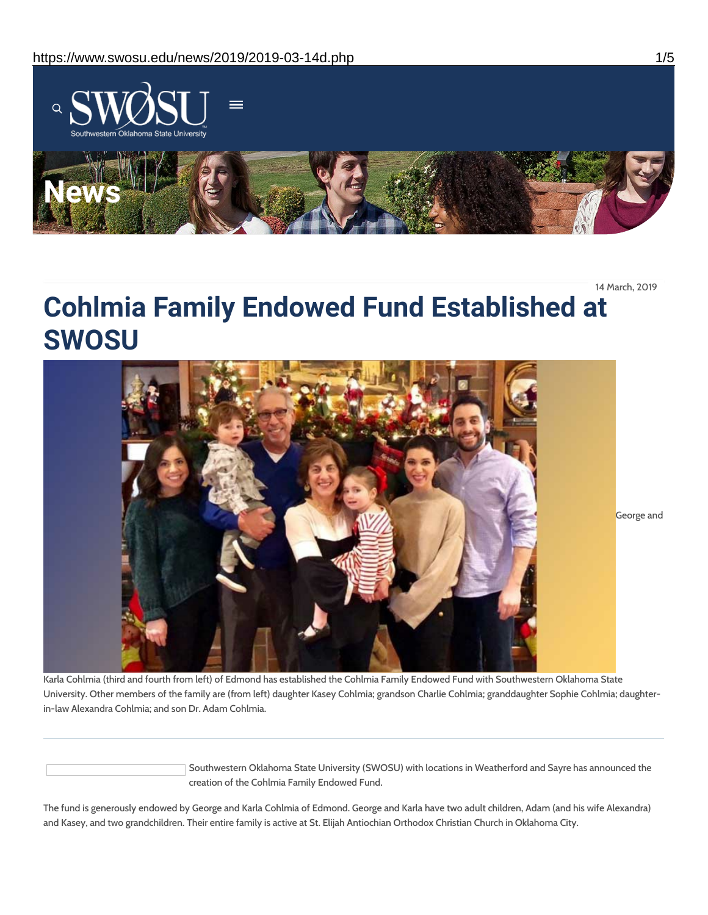

14 March, 2019

# **Cohlmia Family Endowed Fund Established at SWOSU**



George and

Karla Cohlmia (third and fourth from left) of Edmond has established the Cohlmia Family Endowed Fund with Southwestern Oklahoma State University. Other members of the family are (from left) daughter Kasey Cohlmia; grandson Charlie Cohlmia; granddaughter Sophie Cohlmia; daughterin-law Alexandra Cohlmia; and son Dr. Adam Cohlmia.

> Southwestern Oklahoma State University (SWOSU) with locations in Weatherford and Sayre has announced the creation of the Cohlmia Family Endowed Fund.

The fund is generously endowed by George and Karla Cohlmia of Edmond. George and Karla have two adult children, Adam (and his wife Alexandra) and Kasey, and two grandchildren. Their entire family is active at St. Elijah Antiochian Orthodox Christian Church in Oklahoma City.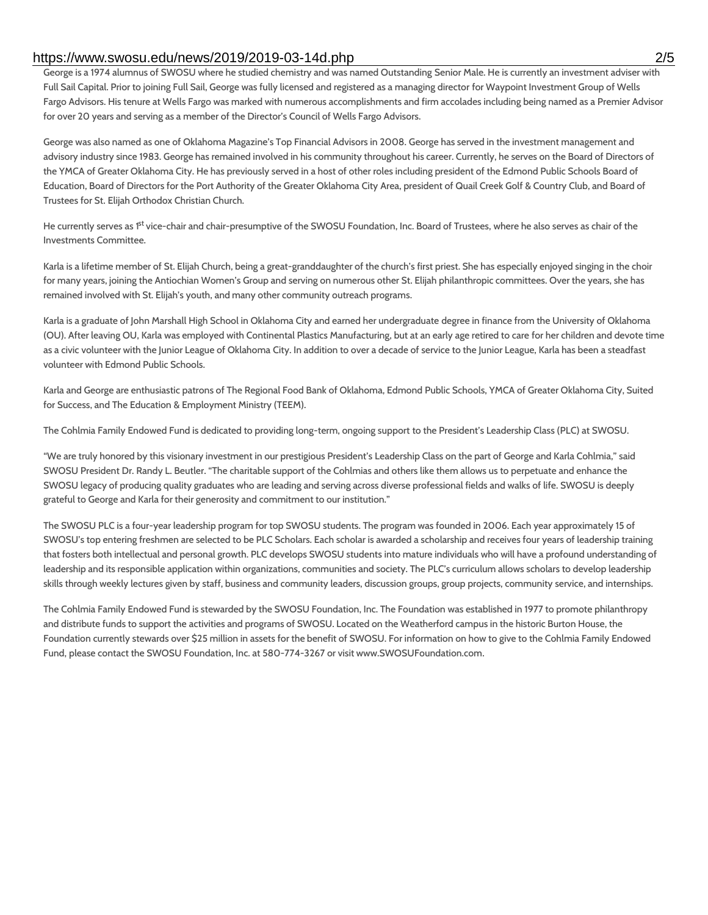#### https://www.swosu.edu/news/2019/2019-03-14d.php 2/5

George is a 1974 alumnus of SWOSU where he studied chemistry and was named Outstanding Senior Male. He is currently an investment adviser with Full Sail Capital. Prior to joining Full Sail, George was fully licensed and registered as a managing director for Waypoint Investment Group of Wells Fargo Advisors. His tenure at Wells Fargo was marked with numerous accomplishments and firm accolades including being named as a Premier Advisor for over 20 years and serving as a member of the Director's Council of Wells Fargo Advisors.

George was also named as one of Oklahoma Magazine's Top Financial Advisors in 2008. George has served in the investment management and advisory industry since 1983. George has remained involved in his community throughout his career. Currently, he serves on the Board of Directors of the YMCA of Greater Oklahoma City. He has previously served in a host of other roles including president of the Edmond Public Schools Board of Education, Board of Directors for the Port Authority of the Greater Oklahoma City Area, president of Quail Creek Golf & Country Club, and Board of Trustees for St. Elijah Orthodox Christian Church.

He currently serves as 1<sup>st</sup> vice-chair and chair-presumptive of the SWOSU Foundation, Inc. Board of Trustees, where he also serves as chair of the Investments Committee.

Karla is a lifetime member of St. Elijah Church, being a great-granddaughter of the church's first priest. She has especially enjoyed singing in the choir for many years, joining the Antiochian Women's Group and serving on numerous other St. Elijah philanthropic committees. Over the years, she has remained involved with St. Elijah's youth, and many other community outreach programs.

Karla is a graduate of John Marshall High School in Oklahoma City and earned her undergraduate degree in finance from the University of Oklahoma (OU). After leaving OU, Karla was employed with Continental Plastics Manufacturing, but at an early age retired to care for her children and devote time as a civic volunteer with the Junior League of Oklahoma City. In addition to over a decade of service to the Junior League, Karla has been a steadfast volunteer with Edmond Public Schools.

Karla and George are enthusiastic patrons of The Regional Food Bank of Oklahoma, Edmond Public Schools, YMCA of Greater Oklahoma City, Suited for Success, and The Education & Employment Ministry (TEEM).

The Cohlmia Family Endowed Fund is dedicated to providing long-term, ongoing support to the President's Leadership Class (PLC) at SWOSU.

"We are truly honored by this visionary investment in our prestigious President's Leadership Class on the part of George and Karla Cohlmia," said SWOSU President Dr. Randy L. Beutler. "The charitable support of the Cohlmias and others like them allows us to perpetuate and enhance the SWOSU legacy of producing quality graduates who are leading and serving across diverse professional fields and walks of life. SWOSU is deeply grateful to George and Karla for their generosity and commitment to our institution."

The SWOSU PLC is a four-year leadership program for top SWOSU students. The program was founded in 2006. Each year approximately 15 of SWOSU's top entering freshmen are selected to be PLC Scholars. Each scholar is awarded a scholarship and receives four years of leadership training that fosters both intellectual and personal growth. PLC develops SWOSU students into mature individuals who will have a profound understanding of leadership and its responsible application within organizations, communities and society. The PLC's curriculum allows scholars to develop leadership skills through weekly lectures given by staff, business and community leaders, discussion groups, group projects, community service, and internships.

The Cohlmia Family Endowed Fund is stewarded by the SWOSU Foundation, Inc. The Foundation was established in 1977 to promote philanthropy and distribute funds to support the activities and programs of SWOSU. Located on the Weatherford campus in the historic Burton House, the Foundation currently stewards over \$25 million in assets for the benefit of SWOSU. For information on how to give to the Cohlmia Family Endowed Fund, please contact the SWOSU Foundation, Inc. at 580-774-3267 or visit www.SWOSUFoundation.com.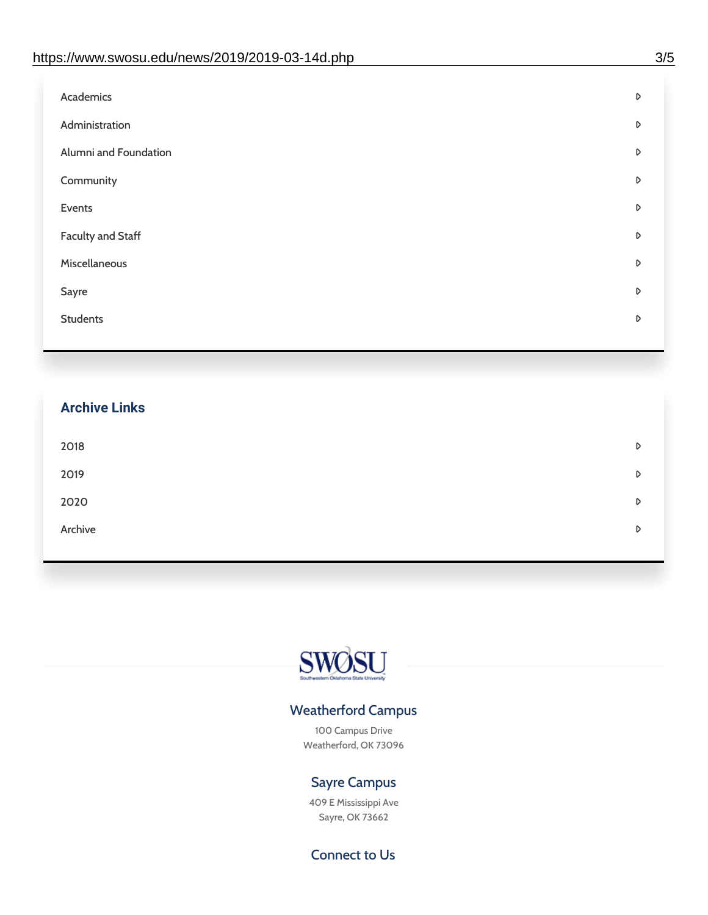| D |
|---|
| D |
| D |
| D |
| D |
| D |
| D |
| D |
| D |
|   |

# **Archive Links**  $2018$  $2019$ [2020](https://www.swosu.edu/news/2020/index.php)  $\bullet$ [Archive](https://dc.swosu.edu/bark/) **Archive Archive Archive Archive Archive** Archive Archive Archive Archive Archive Archive Archive Archive



### Weatherford Campus

100 Campus Drive Weatherford, OK 73096

### Sayre Campus

409 E Mississippi Ave Sayre, OK 73662

Connect to Us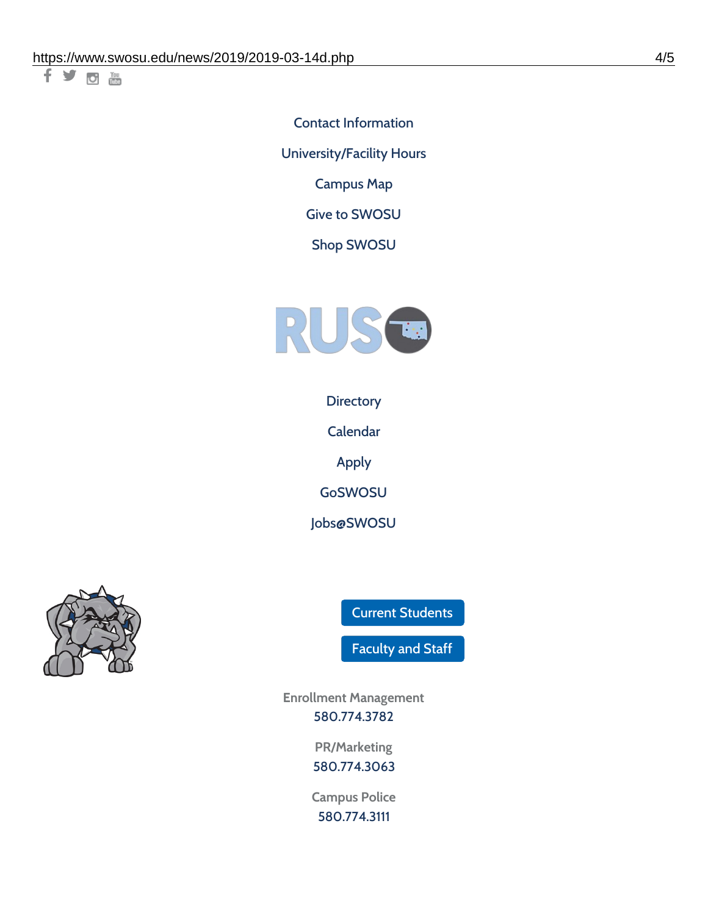十岁回调

Contact [Information](https://www.swosu.edu/about/contact.php)

[University/Facility](https://www.swosu.edu/about/operating-hours.php) Hours

[Campus](https://map.concept3d.com/?id=768#!ct/10964,10214,10213,10212,10205,10204,10203,10202,10136,10129,10128,0,31226,10130,10201,10641,0) Map

Give to [SWOSU](https://standingfirmly.com/donate)

Shop [SWOSU](https://shopswosu.merchorders.com/)



**[Directory](https://www.swosu.edu/directory/index.php)** 

[Calendar](https://eventpublisher.dudesolutions.com/swosu/)

[Apply](https://www.swosu.edu/admissions/apply-to-swosu.php)

[GoSWOSU](https://qlsso.quicklaunchsso.com/home/1267)

[Jobs@SWOSU](https://swosu.csod.com/ux/ats/careersite/1/home?c=swosu)



Current [Students](https://bulldog.swosu.edu/index.php)

[Faculty](https://bulldog.swosu.edu/faculty-staff/index.php) and Staff

**Enrollment Management** [580.774.3782](tel:5807743782)

> **PR/Marketing** [580.774.3063](tel:5807743063)

**Campus Police** [580.774.3111](tel:5807743111)